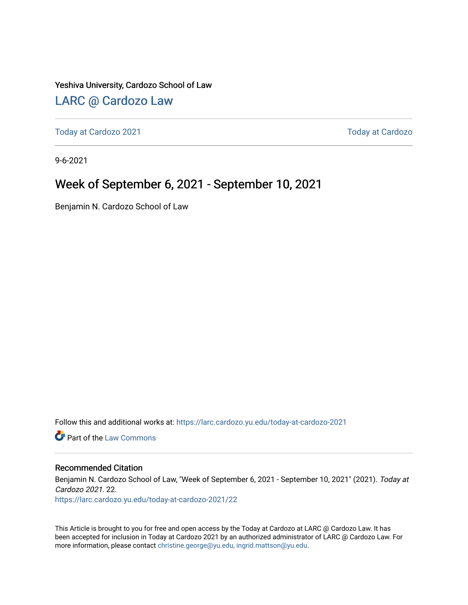### Yeshiva University, Cardozo School of Law

## [LARC @ Cardozo Law](https://larc.cardozo.yu.edu/)

[Today at Cardozo 2021](https://larc.cardozo.yu.edu/today-at-cardozo-2021) **Today at Cardozo** 2021

9-6-2021

## Week of September 6, 2021 - September 10, 2021

Benjamin N. Cardozo School of Law

Follow this and additional works at: [https://larc.cardozo.yu.edu/today-at-cardozo-2021](https://larc.cardozo.yu.edu/today-at-cardozo-2021?utm_source=larc.cardozo.yu.edu%2Ftoday-at-cardozo-2021%2F22&utm_medium=PDF&utm_campaign=PDFCoverPages)

**C** Part of the [Law Commons](http://network.bepress.com/hgg/discipline/578?utm_source=larc.cardozo.yu.edu%2Ftoday-at-cardozo-2021%2F22&utm_medium=PDF&utm_campaign=PDFCoverPages)

#### Recommended Citation

Benjamin N. Cardozo School of Law, "Week of September 6, 2021 - September 10, 2021" (2021). Today at Cardozo 2021. 22.

[https://larc.cardozo.yu.edu/today-at-cardozo-2021/22](https://larc.cardozo.yu.edu/today-at-cardozo-2021/22?utm_source=larc.cardozo.yu.edu%2Ftoday-at-cardozo-2021%2F22&utm_medium=PDF&utm_campaign=PDFCoverPages) 

This Article is brought to you for free and open access by the Today at Cardozo at LARC @ Cardozo Law. It has been accepted for inclusion in Today at Cardozo 2021 by an authorized administrator of LARC @ Cardozo Law. For more information, please contact [christine.george@yu.edu, ingrid.mattson@yu.edu](mailto:christine.george@yu.edu,%20ingrid.mattson@yu.edu).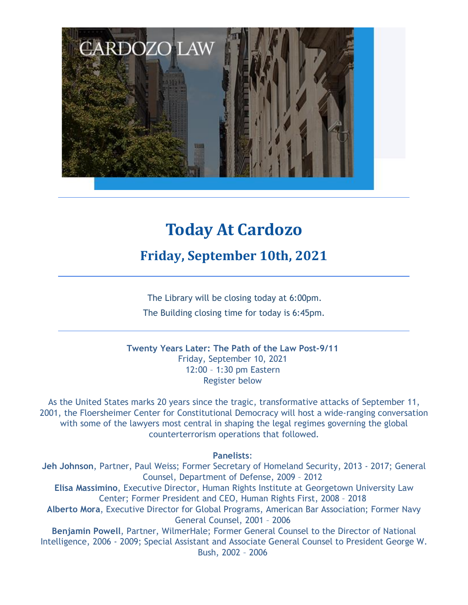

# **Today At Cardozo**

**Friday, September 10th, 2021**

The Library will be closing today at 6:00pm. The Building closing time for today is 6:45pm.

**Twenty Years Later: The Path of the Law Post-9/11** Friday, September 10, 2021 12:00 – 1:30 pm Eastern Register below

As the United States marks 20 years since the tragic, transformative attacks of September 11, 2001, the Floersheimer Center for Constitutional Democracy will host a wide-ranging conversation with some of the lawyers most central in shaping the legal regimes governing the global counterterrorism operations that followed.

### **Panelists**:

**Jeh Johnson**, Partner, Paul Weiss; Former Secretary of Homeland Security, 2013 - 2017; General Counsel, Department of Defense, 2009 – 2012 **Elisa Massimino**, Executive Director, Human Rights Institute at Georgetown University Law Center; Former President and CEO, Human Rights First, 2008 – 2018 **Alberto Mora**, Executive Director for Global Programs, American Bar Association; Former Navy General Counsel, 2001 – 2006 **Benjamin Powell**, Partner, WilmerHale; Former General Counsel to the Director of National Intelligence, 2006 - 2009; Special Assistant and Associate General Counsel to President George W. Bush, 2002 – 2006